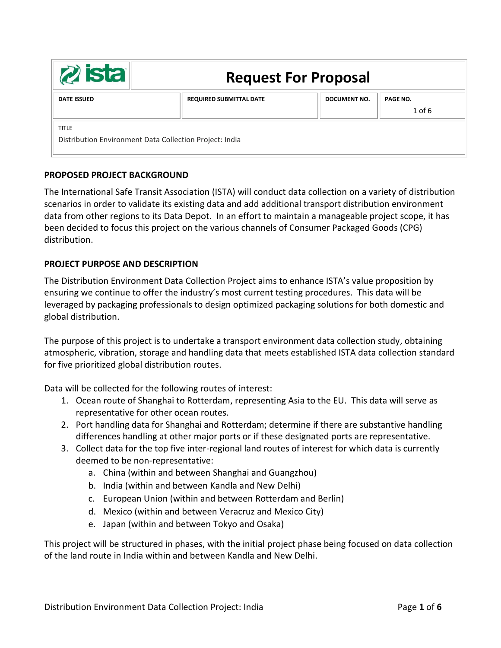| <b>zista</b>                                                            | <b>Request For Proposal</b>    |              |                      |
|-------------------------------------------------------------------------|--------------------------------|--------------|----------------------|
| <b>DATE ISSUED</b>                                                      | <b>REQUIRED SUBMITTAL DATE</b> | DOCUMENT NO. | PAGE NO.<br>$1$ of 6 |
| <b>TITLE</b><br>Distribution Environment Data Collection Project: India |                                |              |                      |

## **PROPOSED PROJECT BACKGROUND**

The International Safe Transit Association (ISTA) will conduct data collection on a variety of distribution scenarios in order to validate its existing data and add additional transport distribution environment data from other regions to its Data Depot. In an effort to maintain a manageable project scope, it has been decided to focus this project on the various channels of Consumer Packaged Goods (CPG) distribution.

#### **PROJECT PURPOSE AND DESCRIPTION**

The Distribution Environment Data Collection Project aims to enhance ISTA's value proposition by ensuring we continue to offer the industry's most current testing procedures. This data will be leveraged by packaging professionals to design optimized packaging solutions for both domestic and global distribution.

The purpose of this project is to undertake a transport environment data collection study, obtaining atmospheric, vibration, storage and handling data that meets established ISTA data collection standard for five prioritized global distribution routes.

Data will be collected for the following routes of interest:

- 1. Ocean route of Shanghai to Rotterdam, representing Asia to the EU. This data will serve as representative for other ocean routes.
- 2. Port handling data for Shanghai and Rotterdam; determine if there are substantive handling differences handling at other major ports or if these designated ports are representative.
- 3. Collect data for the top five inter-regional land routes of interest for which data is currently deemed to be non-representative:
	- a. China (within and between Shanghai and Guangzhou)
	- b. India (within and between Kandla and New Delhi)
	- c. European Union (within and between Rotterdam and Berlin)
	- d. Mexico (within and between Veracruz and Mexico City)
	- e. Japan (within and between Tokyo and Osaka)

This project will be structured in phases, with the initial project phase being focused on data collection of the land route in India within and between Kandla and New Delhi.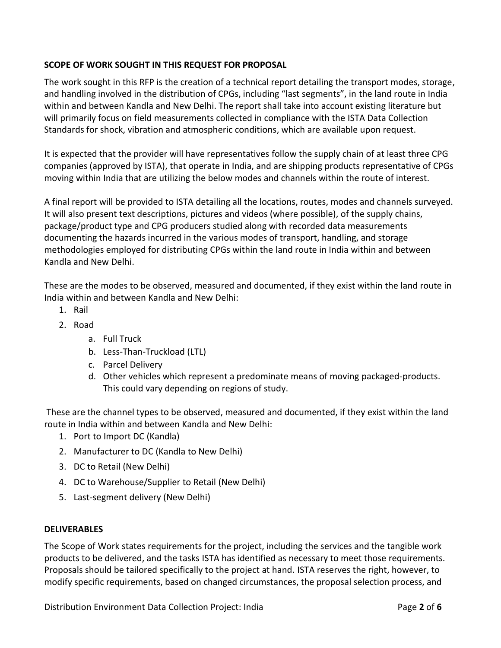# **SCOPE OF WORK SOUGHT IN THIS REQUEST FOR PROPOSAL**

The work sought in this RFP is the creation of a technical report detailing the transport modes, storage, and handling involved in the distribution of CPGs, including "last segments", in the land route in India within and between Kandla and New Delhi. The report shall take into account existing literature but will primarily focus on field measurements collected in compliance with the ISTA Data Collection Standards for shock, vibration and atmospheric conditions, which are available upon request.

It is expected that the provider will have representatives follow the supply chain of at least three CPG companies (approved by ISTA), that operate in India, and are shipping products representative of CPGs moving within India that are utilizing the below modes and channels within the route of interest.

A final report will be provided to ISTA detailing all the locations, routes, modes and channels surveyed. It will also present text descriptions, pictures and videos (where possible), of the supply chains, package/product type and CPG producers studied along with recorded data measurements documenting the hazards incurred in the various modes of transport, handling, and storage methodologies employed for distributing CPGs within the land route in India within and between Kandla and New Delhi.

These are the modes to be observed, measured and documented, if they exist within the land route in India within and between Kandla and New Delhi:

- 1. Rail
- 2. Road
	- a. Full Truck
	- b. Less-Than-Truckload (LTL)
	- c. Parcel Delivery
	- d. Other vehicles which represent a predominate means of moving packaged-products. This could vary depending on regions of study.

These are the channel types to be observed, measured and documented, if they exist within the land route in India within and between Kandla and New Delhi:

- 1. Port to Import DC (Kandla)
- 2. Manufacturer to DC (Kandla to New Delhi)
- 3. DC to Retail (New Delhi)
- 4. DC to Warehouse/Supplier to Retail (New Delhi)
- 5. Last-segment delivery (New Delhi)

## **DELIVERABLES**

The Scope of Work states requirements for the project, including the services and the tangible work products to be delivered, and the tasks ISTA has identified as necessary to meet those requirements. Proposals should be tailored specifically to the project at hand. ISTA reserves the right, however, to modify specific requirements, based on changed circumstances, the proposal selection process, and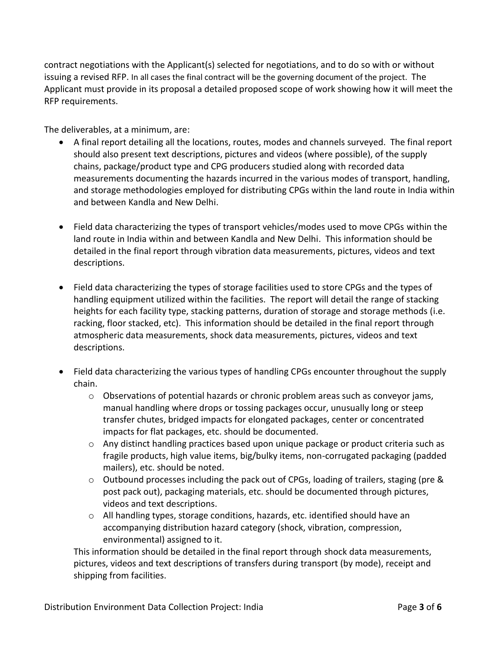contract negotiations with the Applicant(s) selected for negotiations, and to do so with or without issuing a revised RFP. In all cases the final contract will be the governing document of the project. The Applicant must provide in its proposal a detailed proposed scope of work showing how it will meet the RFP requirements.

The deliverables, at a minimum, are:

- A final report detailing all the locations, routes, modes and channels surveyed. The final report should also present text descriptions, pictures and videos (where possible), of the supply chains, package/product type and CPG producers studied along with recorded data measurements documenting the hazards incurred in the various modes of transport, handling, and storage methodologies employed for distributing CPGs within the land route in India within and between Kandla and New Delhi.
- Field data characterizing the types of transport vehicles/modes used to move CPGs within the land route in India within and between Kandla and New Delhi. This information should be detailed in the final report through vibration data measurements, pictures, videos and text descriptions.
- Field data characterizing the types of storage facilities used to store CPGs and the types of handling equipment utilized within the facilities. The report will detail the range of stacking heights for each facility type, stacking patterns, duration of storage and storage methods (i.e. racking, floor stacked, etc). This information should be detailed in the final report through atmospheric data measurements, shock data measurements, pictures, videos and text descriptions.
- Field data characterizing the various types of handling CPGs encounter throughout the supply chain.
	- o Observations of potential hazards or chronic problem areas such as conveyor jams, manual handling where drops or tossing packages occur, unusually long or steep transfer chutes, bridged impacts for elongated packages, center or concentrated impacts for flat packages, etc. should be documented.
	- $\circ$  Any distinct handling practices based upon unique package or product criteria such as fragile products, high value items, big/bulky items, non-corrugated packaging (padded mailers), etc. should be noted.
	- $\circ$  Outbound processes including the pack out of CPGs, loading of trailers, staging (pre & post pack out), packaging materials, etc. should be documented through pictures, videos and text descriptions.
	- $\circ$  All handling types, storage conditions, hazards, etc. identified should have an accompanying distribution hazard category (shock, vibration, compression, environmental) assigned to it.

This information should be detailed in the final report through shock data measurements, pictures, videos and text descriptions of transfers during transport (by mode), receipt and shipping from facilities.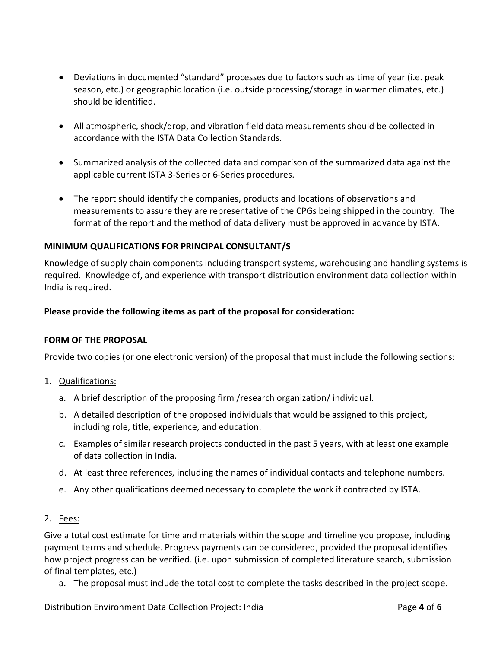- Deviations in documented "standard" processes due to factors such as time of year (i.e. peak season, etc.) or geographic location (i.e. outside processing/storage in warmer climates, etc.) should be identified.
- All atmospheric, shock/drop, and vibration field data measurements should be collected in accordance with the ISTA Data Collection Standards.
- Summarized analysis of the collected data and comparison of the summarized data against the applicable current ISTA 3-Series or 6-Series procedures.
- The report should identify the companies, products and locations of observations and measurements to assure they are representative of the CPGs being shipped in the country. The format of the report and the method of data delivery must be approved in advance by ISTA.

## **MINIMUM QUALIFICATIONS FOR PRINCIPAL CONSULTANT/S**

Knowledge of supply chain components including transport systems, warehousing and handling systems is required. Knowledge of, and experience with transport distribution environment data collection within India is required.

## **Please provide the following items as part of the proposal for consideration:**

## **FORM OF THE PROPOSAL**

Provide two copies (or one electronic version) of the proposal that must include the following sections:

- 1. Qualifications:
	- a. A brief description of the proposing firm /research organization/ individual.
	- b. A detailed description of the proposed individuals that would be assigned to this project, including role, title, experience, and education.
	- c. Examples of similar research projects conducted in the past 5 years, with at least one example of data collection in India.
	- d. At least three references, including the names of individual contacts and telephone numbers.
	- e. Any other qualifications deemed necessary to complete the work if contracted by ISTA.
- 2. Fees:

Give a total cost estimate for time and materials within the scope and timeline you propose, including payment terms and schedule. Progress payments can be considered, provided the proposal identifies how project progress can be verified. (i.e. upon submission of completed literature search, submission of final templates, etc.)

a. The proposal must include the total cost to complete the tasks described in the project scope.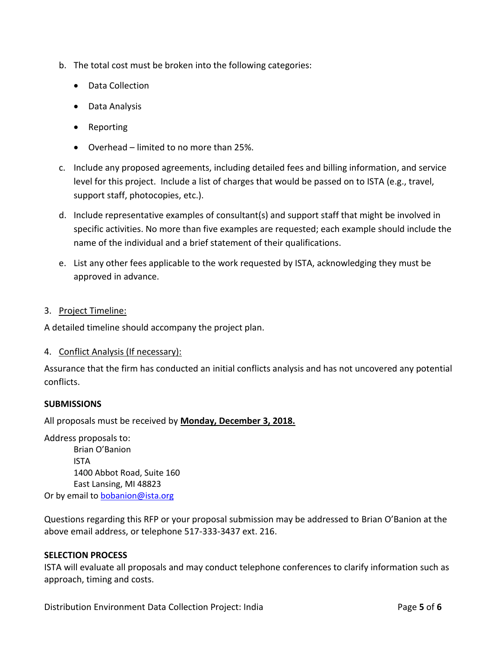- b. The total cost must be broken into the following categories:
	- Data Collection
	- Data Analysis
	- Reporting
	- Overhead limited to no more than 25%.
- c. Include any proposed agreements, including detailed fees and billing information, and service level for this project. Include a list of charges that would be passed on to ISTA (e.g., travel, support staff, photocopies, etc.).
- d. Include representative examples of consultant(s) and support staff that might be involved in specific activities. No more than five examples are requested; each example should include the name of the individual and a brief statement of their qualifications.
- e. List any other fees applicable to the work requested by ISTA, acknowledging they must be approved in advance.
- 3. Project Timeline:

A detailed timeline should accompany the project plan.

4. Conflict Analysis (If necessary):

Assurance that the firm has conducted an initial conflicts analysis and has not uncovered any potential conflicts.

## **SUBMISSIONS**

All proposals must be received by **Monday, December 3, 2018.**

Address proposals to: Brian O'Banion ISTA 1400 Abbot Road, Suite 160 East Lansing, MI 48823 Or by email to [bobanion@ista.org](mailto:bobanion@ista.org)

Questions regarding this RFP or your proposal submission may be addressed to Brian O'Banion at the above email address, or telephone 517-333-3437 ext. 216.

#### **SELECTION PROCESS**

ISTA will evaluate all proposals and may conduct telephone conferences to clarify information such as approach, timing and costs.